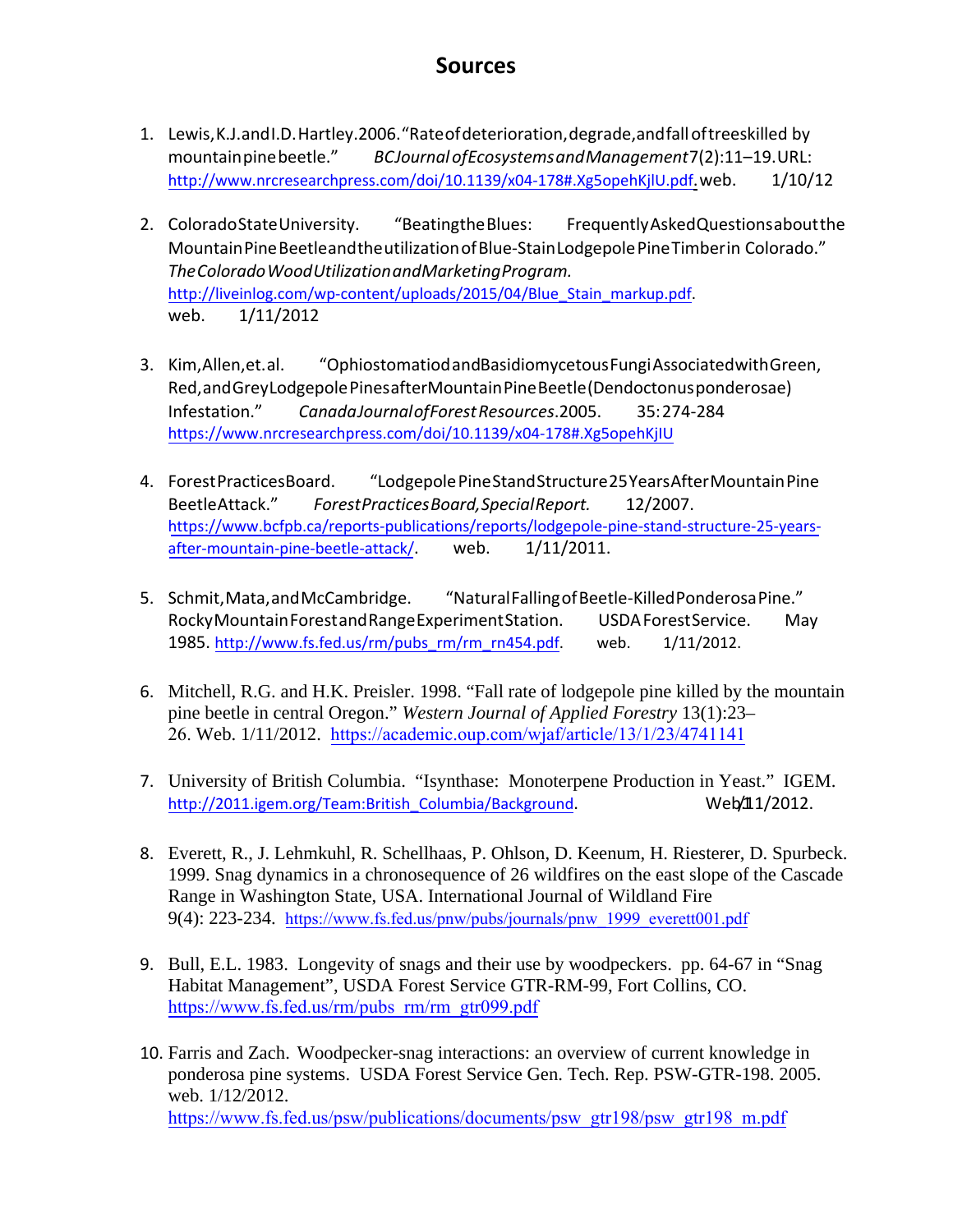## **Sources**

- 1. Lewis,K.J.andI.D.Hartley.2006."Rateofdeterioration,degrade,andfalloftreeskilled by mountainpinebeetle." *BCJournalofEcosystemsandManagement*7(2):11–19.URL: http://www.nrcresearchpress.com/doi/10.1139/x04-178#.Xg5opehKjlU.pdf.web. 1/10/12
- 2. ColoradoStateUniversity. "BeatingtheBlues: FrequentlyAskedQuestionsaboutthe MountainPineBeetleandtheutilizationofBlue‐StainLodgepolePineTimberin Colorado." http://liveinlog.com/wp-content/uploads/2015/04/Blue\_Stain\_markup.pdf. web. 1/11/2012 *TheColoradoWoodUtilizationandMarketingProgram.*
- 3. Kim,Allen,et.al. "OphiostomatiodandBasidiomycetousFungiAssociatedwithGreen, Infestation." *CanadaJournalofForestResources*.2005. 35:274‐284 <https://www.nrcresearchpress.com/doi/10.1139/x04-178#.Xg5opehKjIU> Red,andGreyLodgepolePinesafterMountainPineBeetle(Dendoctonusponderosae)
- BeetleAttack." *ForestPracticesBoard,SpecialReport.* 12/2007.  [https://www.bcfpb.ca/reports-publications/reports/lodgepole-pine-stand-structure-25-years-](https://www.bcfpb.ca/reports-publications/reports/lodgepole-pine-stand-structure-25-years-after-mountain-pine-beetle-attack/)4. ForestPracticesBoard. "LodgepolePineStandStructure25YearsAfterMountainPine after-mountain-pine-beetle-attack/. web. 1/11/2011.
- RockyMountainForestandRangeExperimentStation. USDAForestService. May 1985. http://www.fs.fed.us/rm/pubs\_rm/rm\_rn454.pdf. web. 1/11/2012. 5. Schmit, Mata, and McCambridge. "Natural Falling of Beetle-Killed Ponderosa Pine."
- 6. Mitchell, R.G. and H.K. Preisler. 1998. "Fall rate of lodgepole pine killed by the mountain pine beetle in central Oregon." *Western Journal of Applied Forestry* 13(1):23– 26. Web. 1/11/2012.<https://academic.oup.com/wjaf/article/13/1/23/4741141>
- 7. University of British Columbia. "Isynthase: Monoterpene Production in Yeast." IGEM. http://2011.igem.org/Team:British Columbia/Background. Web/11/2012.
- 8. Everett, R., J. Lehmkuhl, R. Schellhaas, P. Ohlson, D. Keenum, H. Riesterer, D. Spurbeck. 1999. Snag dynamics in a chronosequence of 26 wildfires on the east slope of the Cascade Range in Washington State, USA. International Journal of Wildland Fire 9(4): 223-234. [https://www.fs.fed.us/pnw/pubs/journals/pnw\\_1999\\_everett001.pdf](https://www.fs.fed.us/pnw/pubs/journals/pnw_1999_everett001.pdf)
- 9. Bull, E.L. 1983. Longevity of snags and their use by woodpeckers. pp. 64-67 in "Snag Habitat Management", USDA Forest Service GTR-RM-99, Fort Collins, CO. [https://www.fs.fed.us/rm/pubs\\_rm/rm\\_gtr099.pdf](https://www.fs.fed.us/rm/pubs_rm/rm_gtr099.pdf)
- 10. Farris and Zach. Woodpecker-snag interactions: an overview of current knowledge in ponderosa pine systems. USDA Forest Service Gen. Tech. Rep. PSW-GTR-198. 2005. web. 1/12/2012. [https://www.fs.fed.us/psw/publications/documents/psw\\_gtr198/psw\\_gtr198\\_m.pdf](https://www.fs.fed.us/psw/publications/documents/psw_gtr198/psw_gtr198_m.pdf)